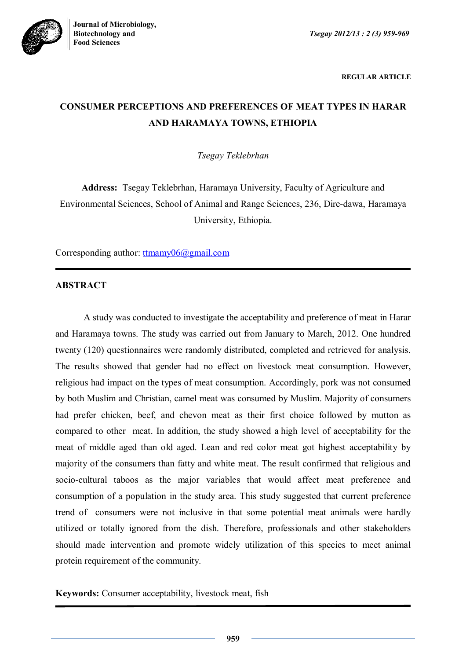

**REGULAR ARTICLE**

# **CONSUMER PERCEPTIONS AND PREFERENCES OF MEAT TYPES IN HARAR AND HARAMAYA TOWNS, ETHIOPIA**

*Tsegay Teklebrhan*

**Address:** Tsegay Teklebrhan, Haramaya University, Faculty of Agriculture and Environmental Sciences, School of Animal and Range Sciences, 236, Dire-dawa, Haramaya University, Ethiopia.

Corresponding author: ttmamy06@gmail.com

# **ABSTRACT**

A study was conducted to investigate the acceptability and preference of meat in Harar and Haramaya towns. The study was carried out from January to March, 2012. One hundred twenty (120) questionnaires were randomly distributed, completed and retrieved for analysis. The results showed that gender had no effect on livestock meat consumption. However, religious had impact on the types of meat consumption. Accordingly, pork was not consumed by both Muslim and Christian, camel meat was consumed by Muslim. Majority of consumers had prefer chicken, beef, and chevon meat as their first choice followed by mutton as compared to other meat. In addition, the study showed a high level of acceptability for the meat of middle aged than old aged. Lean and red color meat got highest acceptability by majority of the consumers than fatty and white meat. The result confirmed that religious and socio-cultural taboos as the major variables that would affect meat preference and consumption of a population in the study area. This study suggested that current preference trend of consumers were not inclusive in that some potential meat animals were hardly utilized or totally ignored from the dish. Therefore, professionals and other stakeholders should made intervention and promote widely utilization of this species to meet animal protein requirement of the community.

**Keywords:** Consumer acceptability, livestock meat, fish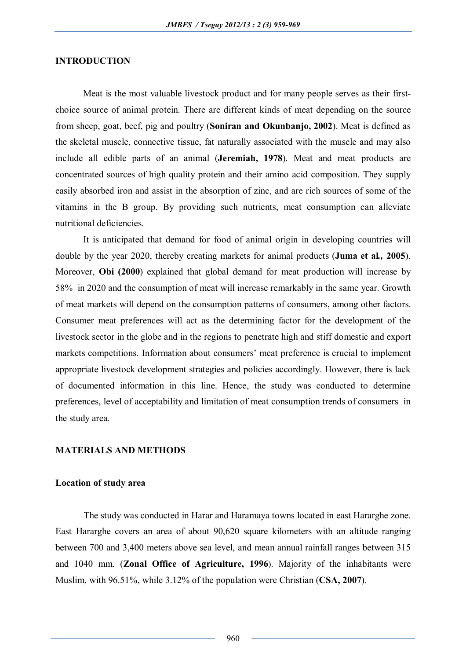## **INTRODUCTION**

Meat is the most valuable livestock product and for many people serves as their firstchoice source of animal protein. There are different kinds of meat depending on the source from sheep, goat, beef, pig and poultry (**Soniran and Okunbanjo, 2002**). Meat is defined as the skeletal muscle, connective tissue, fat naturally associated with the muscle and may also include all edible parts of an animal (**Jeremiah, 1978**). Meat and meat products are concentrated sources of high quality protein and their amino acid composition. They supply easily absorbed iron and assist in the absorption of zinc, and are rich sources of some of the vitamins in the B group. By providing such nutrients, meat consumption can alleviate nutritional deficiencies.

It is anticipated that demand for food of animal origin in developing countries will double by the year 2020, thereby creating markets for animal products (**Juma et al***.,* **2005**). Moreover, **Obi (2000**) explained that global demand for meat production will increase by 58% in 2020 and the consumption of meat will increase remarkably in the same year. Growth of meat markets will depend on the consumption patterns of consumers, among other factors. Consumer meat preferences will act as the determining factor for the development of the livestock sector in the globe and in the regions to penetrate high and stiff domestic and export markets competitions. Information about consumers' meat preference is crucial to implement appropriate livestock development strategies and policies accordingly. However, there is lack of documented information in this line. Hence, the study was conducted to determine preferences, level of acceptability and limitation of meat consumption trends of consumersin the study area.

# **MATERIALS AND METHODS**

#### **Location of study area**

The study was conducted in Harar and Haramaya towns located in east Hararghe zone. East Hararghe covers an area of about 90,620 square kilometers with an altitude ranging between 700 and 3,400 meters above sea level, and mean annual rainfall ranges between 315 and 1040 mm. (**Zonal Office of Agriculture, 1996**). Majority of the inhabitants were Muslim, with 96.51%, while 3.12% of the population were Christian (**CSA, 2007**).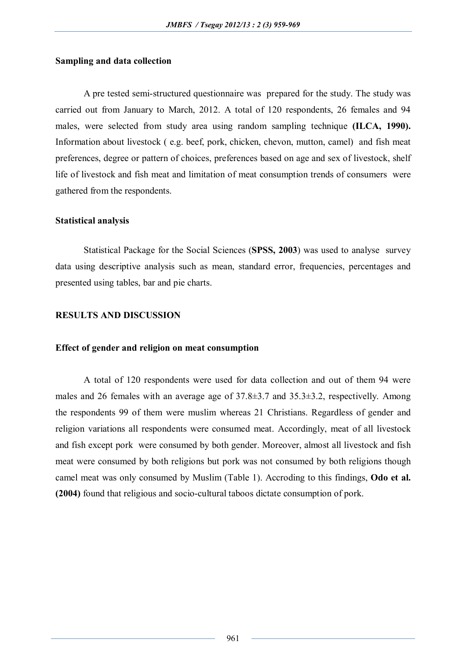## **Sampling and data collection**

A pre tested semi-structured questionnaire was prepared for the study. The study was carried out from January to March, 2012. A total of 120 respondents, 26 females and 94 males, were selected from study area using random sampling technique **(ILCA, 1990).** Information about livestock ( e.g. beef, pork, chicken, chevon, mutton, camel) and fish meat preferences, degree or pattern of choices, preferences based on age and sex of livestock, shelf life of livestock and fish meat and limitation of meat consumption trends of consumers were gathered from the respondents.

#### **Statistical analysis**

Statistical Package for the Social Sciences (**SPSS, 2003**) was used to analyse survey data using descriptive analysis such as mean, standard error, frequencies, percentages and presented using tables, bar and pie charts.

## **RESULTS AND DISCUSSION**

#### **Effect of gender and religion on meat consumption**

A total of 120 respondents were used for data collection and out of them 94 were males and 26 females with an average age of 37.8±3.7 and 35.3±3.2, respectivelly. Among the respondents 99 of them were muslim whereas 21 Christians. Regardless of gender and religion variations all respondents were consumed meat. Accordingly, meat of all livestock and fish except pork were consumed by both gender. Moreover, almost all livestock and fish meat were consumed by both religions but pork was not consumed by both religions though camel meat was only consumed by Muslim (Table 1). Accroding to this findings, **Odo et al. (2004)** found that religious and socio-cultural taboos dictate consumption of pork.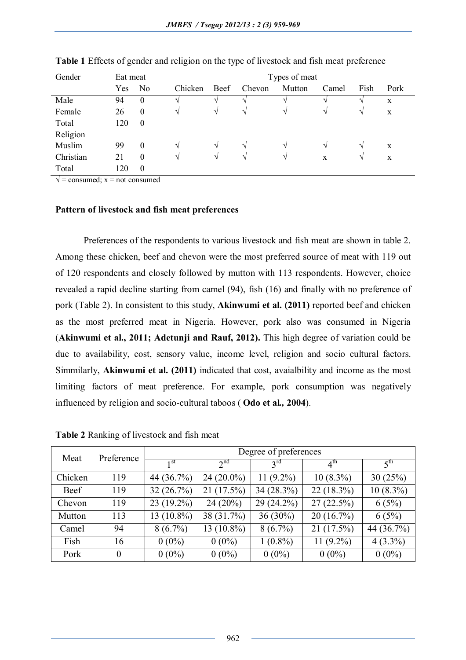| Gender    | Eat meat | Types of meat    |               |               |               |               |       |               |             |
|-----------|----------|------------------|---------------|---------------|---------------|---------------|-------|---------------|-------------|
|           | Yes      | N <sub>0</sub>   | Chicken       | Beef          | Chevon        | Mutton        | Camel | Fish          | Pork        |
| Male      | 94       | $\boldsymbol{0}$ |               | V             |               |               |       |               | $\mathbf X$ |
| Female    | 26       | $\boldsymbol{0}$ | V             | $\mathcal{N}$ | N             | $\mathcal{N}$ | V     | $\mathcal{L}$ | X           |
| Total     | 120      | $\boldsymbol{0}$ |               |               |               |               |       |               |             |
| Religion  |          |                  |               |               |               |               |       |               |             |
| Muslim    | 99       | $\overline{0}$   | $\mathcal{N}$ | N             | $\mathcal{N}$ | $\mathcal{N}$ | V     | $\mathcal{L}$ | X           |
| Christian | 21       | $\boldsymbol{0}$ | V             | N             | $\mathcal{N}$ | V             | X     | $\mathcal{L}$ | X           |
| Total     | 120      | $\boldsymbol{0}$ |               |               |               |               |       |               |             |

**Table 1** Effects of gender and religion on the type of livestock and fish meat preference

 $\sqrt{\ }$  = consumed; x = not consumed

### **Pattern of livestock and fish meat preferences**

Preferences of the respondents to various livestock and fish meat are shown in table 2. Among these chicken, beef and chevon were the most preferred source of meat with 119 out of 120 respondents and closely followed by mutton with 113 respondents. However, choice revealed a rapid decline starting from camel (94), fish (16) and finally with no preference of pork (Table 2). In consistent to this study, **Akinwumi et al. (2011)** reported beef and chicken as the most preferred meat in Nigeria. However, pork also was consumed in Nigeria (**Akinwumi et al., 2011; Adetunji and Rauf, 2012).** This high degree of variation could be due to availability, cost, sensory value, income level, religion and socio cultural factors. Simmilarly, **Akinwumi et al. (2011)** indicated that cost, avaialbility and income as the most limiting factors of meat preference. For example, pork consumption was negatively influenced by religion and socio-cultural taboos ( **Odo et al***.,* **2004**).

| Meat    | Preference | Degree of preferences |                 |                 |                 |                     |  |  |
|---------|------------|-----------------------|-----------------|-----------------|-----------------|---------------------|--|--|
|         |            | 1 <sub>st</sub>       | 2 <sup>nd</sup> | $3^{\text{rd}}$ | $4^{\text{th}}$ | $\zeta^{\text{th}}$ |  |  |
| Chicken | 119        | 44 (36.7%)            | $24(20.0\%)$    | $11(9.2\%)$     | $10(8.3\%)$     | 30(25%)             |  |  |
| Beef    | 119        | 32(26.7%)             | 21(17.5%)       | $34(28.3\%)$    | $22(18.3\%)$    | $10(8.3\%)$         |  |  |
| Chevon  | 119        | $23(19.2\%)$          | $24(20\%)$      | 29 (24.2%)      | 27(22.5%)       | 6(5%)               |  |  |
| Mutton  | 113        | $13(10.8\%)$          | 38 (31.7%)      | $36(30\%)$      | 20(16.7%)       | 6(5%)               |  |  |
| Camel   | 94         | $8(6.7\%)$            | $13(10.8\%)$    | $8(6.7\%)$      | 21(17.5%)       | 44 (36.7%)          |  |  |
| Fish    | 16         | $0(0\%)$              | $0(0\%)$        | $1(0.8\%)$      | $11(9.2\%)$     | $4(3.3\%)$          |  |  |
| Pork    | $\theta$   | $0(0\%)$              | $0(0\%)$        | $0(0\%)$        | $0(0\%)$        | $0(0\%)$            |  |  |

**Table 2** Ranking of livestock and fish meat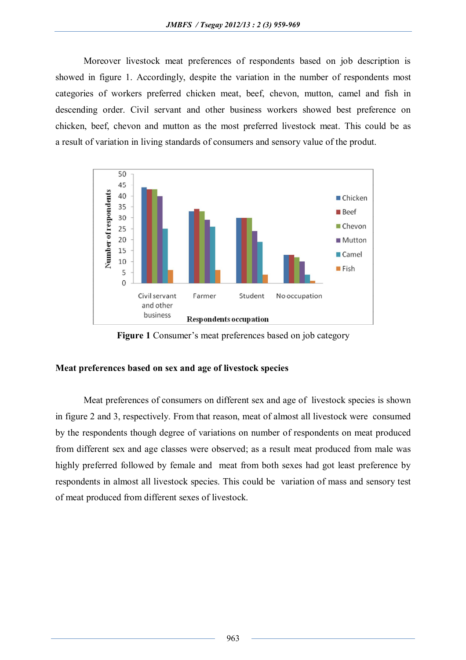Moreover livestock meat preferences of respondents based on job description is showed in figure 1. Accordingly, despite the variation in the number of respondents most categories of workers preferred chicken meat, beef, chevon, mutton, camel and fish in descending order. Civil servant and other business workers showed best preference on chicken, beef, chevon and mutton as the most preferred livestock meat. This could be as a result of variation in living standards of consumers and sensory value of the produt.



**Figure 1** Consumer's meat preferences based on job category

# **Meat preferences based on sex and age of livestock species**

Meat preferences of consumers on different sex and age of livestock species is shown in figure 2 and 3, respectively. From that reason, meat of almost all livestock were consumed by the respondents though degree of variations on number of respondents on meat produced from different sex and age classes were observed; as a result meat produced from male was highly preferred followed by female and meat from both sexes had got least preference by respondents in almost all livestock species. This could be variation of mass and sensory test of meat produced from different sexes of livestock.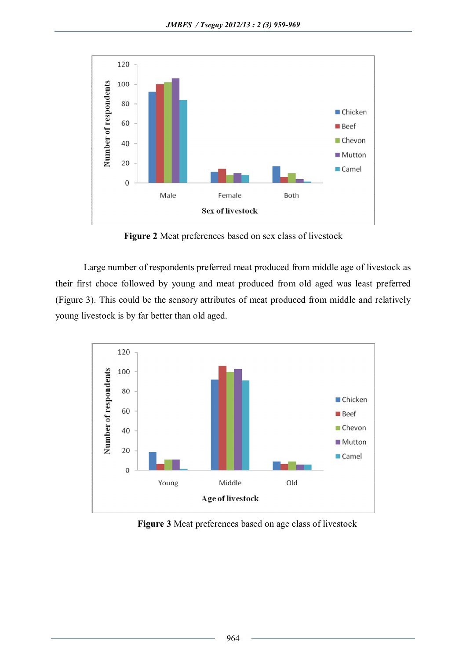

**Figure 2** Meat preferences based on sex class of livestock

Large number of respondents preferred meat produced from middle age of livestock as their first choce followed by young and meat produced from old aged was least preferred (Figure 3). This could be the sensory attributes of meat produced from middle and relatively young livestock is by far better than old aged.



**Figure 3** Meat preferences based on age class of livestock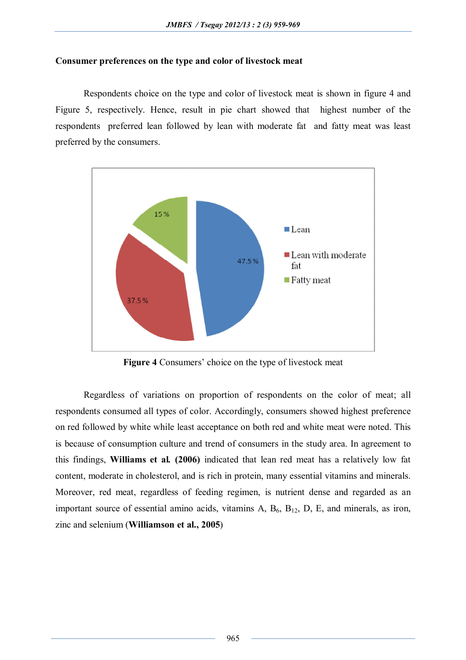# **Consumer preferences on the type and color of livestock meat**

Respondents choice on the type and color of livestock meat is shown in figure 4 and Figure 5, respectively. Hence, result in pie chart showed that highest number of the respondents preferred lean followed by lean with moderate fat and fatty meat was least preferred by the consumers.



**Figure 4** Consumers' choice on the type of livestock meat

Regardless of variations on proportion of respondents on the color of meat; all respondents consumed all types of color. Accordingly, consumers showed highest preference on red followed by white while least acceptance on both red and white meat were noted. This is because of consumption culture and trend of consumers in the study area. In agreement to this findings, **Williams et al***.* **(2006)** indicated that lean red meat has a relatively low fat content, moderate in cholesterol, and is rich in protein, many essential vitamins and minerals. Moreover, red meat, regardless of feeding regimen, is nutrient dense and regarded as an important source of essential amino acids, vitamins  $A$ ,  $B_6$ ,  $B_{12}$ ,  $D$ ,  $E$ , and minerals, as iron, zinc and selenium (**Williamson et al., 2005**)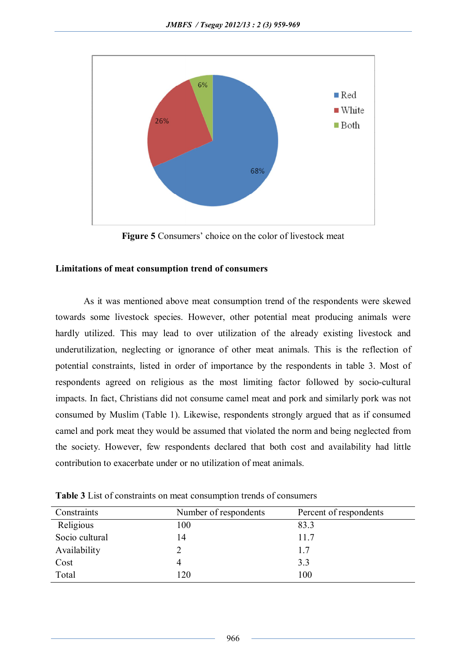

**Figure 5** Consumers' choice on the color of livestock meat

# **Limitations of meat consumption trend of consumers**

As it was mentioned above meat consumption trend of the respondents were skewed towards some livestock species. However, other potential meat producing animals were hardly utilized. This may lead to over utilization of the already existing livestock and underutilization, neglecting or ignorance of other meat animals. This is the reflection of potential constraints, listed in order of importance by the respondents in table 3. Most of respondents agreed on religious as the most limiting factor followed by socio-cultural impacts. In fact, Christians did not consume camel meat and pork and similarly pork was not consumed by Muslim (Table 1). Likewise, respondents strongly argued that as if consumed camel and pork meat they would be assumed that violated the norm and being neglected from the society. However, few respondents declared that both cost and availability had little contribution to exacerbate under or no utilization of meat animals.

| Constraints    | Number of respondents | Percent of respondents |
|----------------|-----------------------|------------------------|
| Religious      | 100                   | 83.3                   |
| Socio cultural | 14                    | 11.7                   |
| Availability   |                       | 1.7                    |
| Cost           |                       | 3.3                    |
| Total          | 120                   | 100                    |

**Table 3** List of constraints on meat consumption trends of consumers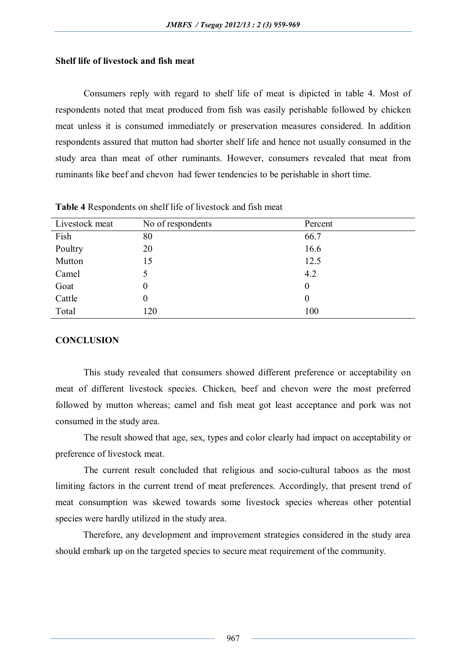## **Shelf life of livestock and fish meat**

Consumers reply with regard to shelf life of meat is dipicted in table 4. Most of respondents noted that meat produced from fish was easily perishable followed by chicken meat unless it is consumed immediately or preservation measures considered. In addition respondents assured that mutton had shorter shelf life and hence not usually consumed in the study area than meat of other ruminants. However, consumers revealed that meat from ruminants like beef and chevon had fewer tendencies to be perishable in short time.

| Livestock meat | No of respondents | Percent          |
|----------------|-------------------|------------------|
| Fish           | 80                | 66.7             |
| Poultry        | 20                | 16.6             |
| Mutton         | 15                | 12.5             |
| Camel          |                   | 4.2              |
| Goat           | 0                 | $\boldsymbol{0}$ |
| Cattle         | 0                 | $\boldsymbol{0}$ |
| Total          | 120               | 100              |
|                |                   |                  |

**Table 4** Respondents on shelf life of livestock and fish meat

## **CONCLUSION**

This study revealed that consumers showed different preference or acceptability on meat of different livestock species. Chicken, beef and chevon were the most preferred followed by mutton whereas; camel and fish meat got least acceptance and pork was not consumed in the study area.

The result showed that age, sex, types and color clearly had impact on acceptability or preference of livestock meat.

The current result concluded that religious and socio-cultural taboos as the most limiting factors in the current trend of meat preferences. Accordingly, that present trend of meat consumption was skewed towards some livestock species whereas other potential species were hardly utilized in the study area.

Therefore, any development and improvement strategies considered in the study area should embark up on the targeted species to secure meat requirement of the community.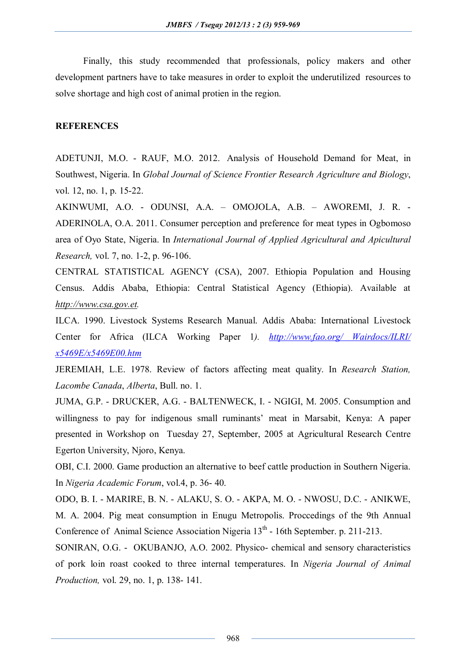Finally, this study recommended that professionals, policy makers and other development partners have to take measures in order to exploit the underutilized resources to solve shortage and high cost of animal protien in the region.

## **REFERENCES**

ADETUNJI, M.O. - RAUF, M.O. 2012. Analysis of Household Demand for Meat, in Southwest, Nigeria. In *Global Journal of Science Frontier Research Agriculture and Biology*, vol. 12, no. 1, p. 15-22.

AKINWUMI, A.O. - ODUNSI, A.A. – OMOJOLA, A.B. – AWOREMI, J. R. - ADERINOLA, O.A. 2011. Consumer perception and preference for meat types in Ogbomoso area of Oyo State, Nigeria. In *International Journal of Applied Agricultural and Apicultural Research,* vol. 7, no. 1-2, p. 96-106.

CENTRAL STATISTICAL AGENCY (CSA), 2007. Ethiopia Population and Housing Census. Addis Ababa, Ethiopia: Central Statistical Agency (Ethiopia). Available at *http://www.csa.gov.et.*

ILCA. 1990. Livestock Systems Research Manual. Addis Ababa: International Livestock Center for Africa (ILCA Working Paper 1*). http://www.fao.org/ Wairdocs/ILRI/ x5469E/x5469E00.htm*

JEREMIAH, L.E. 1978. Review of factors affecting meat quality. In *Research Station, Lacombe Canada*, *Alberta*, Bull. no. 1.

JUMA, G.P. - DRUCKER, A.G. - BALTENWECK, I. - NGIGI, M. 2005. Consumption and willingness to pay for indigenous small ruminants' meat in Marsabit, Kenya: A paper presented in Workshop on Tuesday 27, September, 2005 at Agricultural Research Centre Egerton University, Njoro, Kenya.

OBI, C.I. 2000. Game production an alternative to beef cattle production in Southern Nigeria. In *Nigeria Academic Forum*, vol.4, p. 36- 40.

ODO, B. I. - MARIRE, B. N. - ALAKU, S. O. - AKPA, M. O. - NWOSU, D.C. - ANIKWE, M. A. 2004. Pig meat consumption in Enugu Metropolis. Proccedings of the 9th Annual Conference of Animal Science Association Nigeria 13<sup>th</sup> - 16th September. p. 211-213.

SONIRAN, O.G. - OKUBANJO, A.O. 2002. Physico- chemical and sensory characteristics of pork loin roast cooked to three internal temperatures. In *Nigeria Journal of Animal Production,* vol. 29, no. 1, p. 138- 141.